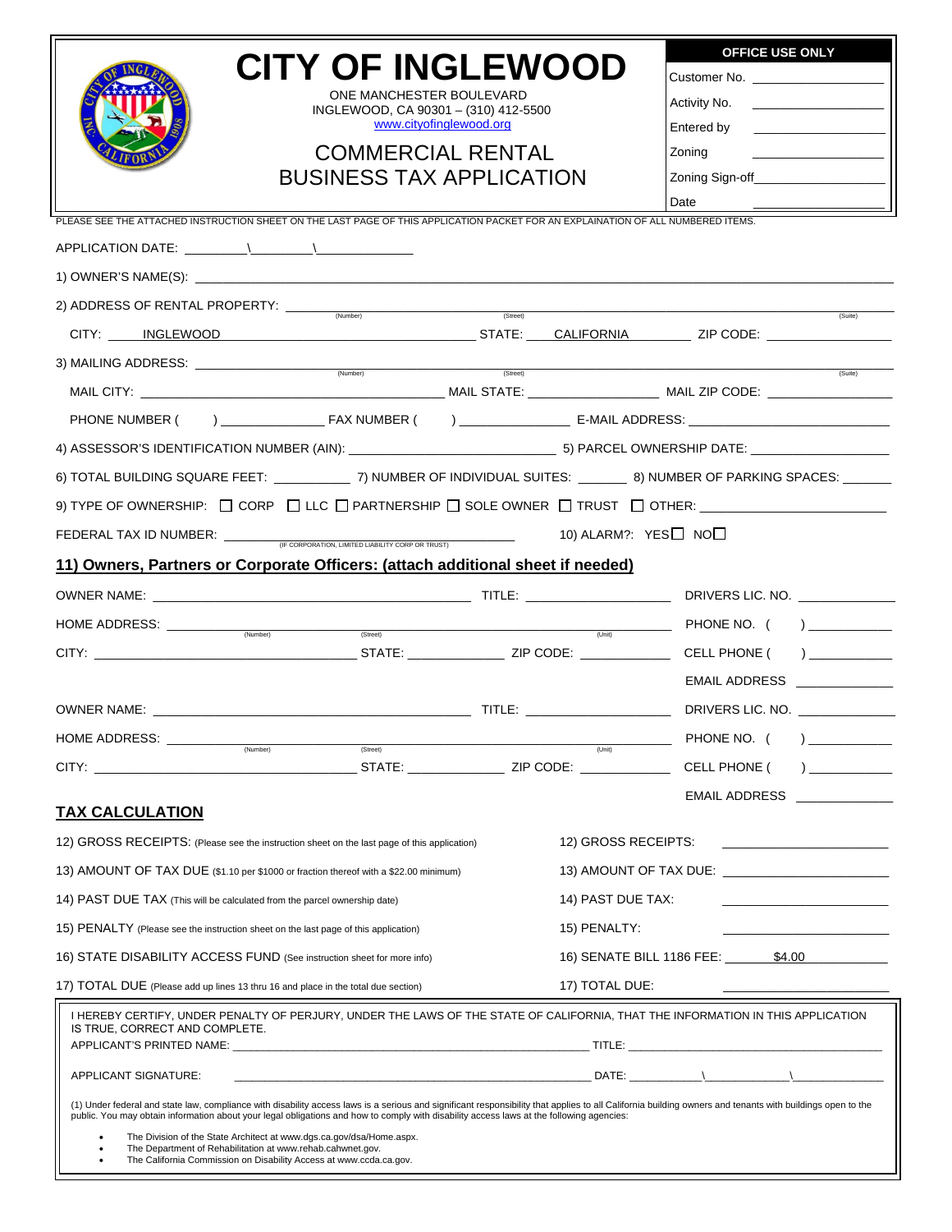|                                                                                                                                  |                                                                                                                                                                                                                  |                                    | <b>OFFICE USE ONLY</b>                                                                                                  |
|----------------------------------------------------------------------------------------------------------------------------------|------------------------------------------------------------------------------------------------------------------------------------------------------------------------------------------------------------------|------------------------------------|-------------------------------------------------------------------------------------------------------------------------|
|                                                                                                                                  | <b>CITY OF INGLEWOOD</b>                                                                                                                                                                                         | Customer No. _____________________ |                                                                                                                         |
|                                                                                                                                  | ONE MANCHESTER BOULEVARD<br>INGLEWOOD, CA 90301 - (310) 412-5500                                                                                                                                                 |                                    |                                                                                                                         |
|                                                                                                                                  | www.cityofinglewood.org                                                                                                                                                                                          |                                    | Entered by<br>the control of the control of the                                                                         |
|                                                                                                                                  | <b>COMMERCIAL RENTAL</b>                                                                                                                                                                                         |                                    | Zoning                                                                                                                  |
|                                                                                                                                  | <b>BUSINESS TAX APPLICATION</b>                                                                                                                                                                                  |                                    |                                                                                                                         |
|                                                                                                                                  | PLEASE SEE THE ATTACHED INSTRUCTION SHEET ON THE LAST PAGE OF THIS APPLICATION PACKET FOR AN EXPLAINATION OF ALL NUMBERED ITEMS.                                                                                 |                                    | Date                                                                                                                    |
|                                                                                                                                  |                                                                                                                                                                                                                  |                                    |                                                                                                                         |
|                                                                                                                                  |                                                                                                                                                                                                                  |                                    |                                                                                                                         |
|                                                                                                                                  |                                                                                                                                                                                                                  |                                    |                                                                                                                         |
|                                                                                                                                  |                                                                                                                                                                                                                  | (Street)                           | (Suite)<br>CITY: INGLEWOOD MARIE AND STATE: CALIFORNIA MARIE ZIP CODE: CONSTRUCTION                                     |
|                                                                                                                                  |                                                                                                                                                                                                                  |                                    |                                                                                                                         |
|                                                                                                                                  |                                                                                                                                                                                                                  |                                    | (Suite)                                                                                                                 |
|                                                                                                                                  |                                                                                                                                                                                                                  |                                    |                                                                                                                         |
|                                                                                                                                  |                                                                                                                                                                                                                  |                                    |                                                                                                                         |
|                                                                                                                                  |                                                                                                                                                                                                                  |                                    |                                                                                                                         |
|                                                                                                                                  |                                                                                                                                                                                                                  |                                    | 6) TOTAL BUILDING SQUARE FEET: ____________7) NUMBER OF INDIVIDUAL SUITES: ________ 8) NUMBER OF PARKING SPACES: ______ |
|                                                                                                                                  |                                                                                                                                                                                                                  |                                    |                                                                                                                         |
|                                                                                                                                  | FEDERAL TAX ID NUMBER: $\frac{1}{(F \text{ CORPORATION, LIMITED LABILITY CORP OR TRUST)}}$ (10) ALARM?: YES $\Box$ NO $\Box$                                                                                     |                                    |                                                                                                                         |
|                                                                                                                                  | 11) Owners, Partners or Corporate Officers: (attach additional sheet if needed)                                                                                                                                  |                                    |                                                                                                                         |
|                                                                                                                                  |                                                                                                                                                                                                                  |                                    |                                                                                                                         |
|                                                                                                                                  | (Stree)                                                                                                                                                                                                          |                                    |                                                                                                                         |
|                                                                                                                                  |                                                                                                                                                                                                                  |                                    |                                                                                                                         |
|                                                                                                                                  |                                                                                                                                                                                                                  |                                    | <b>EMAIL ADDRESS</b>                                                                                                    |
|                                                                                                                                  |                                                                                                                                                                                                                  |                                    | DRIVERS LIC. NO.                                                                                                        |
| HOME ADDRESS: ________<br>(Number)                                                                                               | (Street)                                                                                                                                                                                                         | $\overline{$ (Unit)                | PHONE NO. (<br>$\overline{a}$                                                                                           |
|                                                                                                                                  |                                                                                                                                                                                                                  |                                    | CELL PHONE (                                                                                                            |
|                                                                                                                                  |                                                                                                                                                                                                                  |                                    | <b>EMAIL ADDRESS</b>                                                                                                    |
| <b>TAX CALCULATION</b>                                                                                                           |                                                                                                                                                                                                                  |                                    |                                                                                                                         |
| 12) GROSS RECEIPTS: (Please see the instruction sheet on the last page of this application)                                      |                                                                                                                                                                                                                  | 12) GROSS RECEIPTS:                | <u> 1980 - Jan Barbarat, manala</u>                                                                                     |
| 13) AMOUNT OF TAX DUE (\$1.10 per \$1000 or fraction thereof with a \$22.00 minimum)                                             |                                                                                                                                                                                                                  |                                    | 13) AMOUNT OF TAX DUE: _________________________                                                                        |
| 14) PAST DUE TAX (This will be calculated from the parcel ownership date)                                                        |                                                                                                                                                                                                                  | 14) PAST DUE TAX:                  | the control of the control of the control of                                                                            |
| 15) PENALTY (Please see the instruction sheet on the last page of this application)                                              |                                                                                                                                                                                                                  | 15) PENALTY:                       |                                                                                                                         |
| 16) STATE DISABILITY ACCESS FUND (See instruction sheet for more info)                                                           |                                                                                                                                                                                                                  |                                    | 16) SENATE BILL 1186 FEE: ________\$4.00                                                                                |
| 17) TOTAL DUE (Please add up lines 13 thru 16 and place in the total due section)                                                |                                                                                                                                                                                                                  | 17) TOTAL DUE:                     |                                                                                                                         |
| IS TRUE, CORRECT AND COMPLETE.                                                                                                   | I HEREBY CERTIFY, UNDER PENALTY OF PERJURY, UNDER THE LAWS OF THE STATE OF CALIFORNIA, THAT THE INFORMATION IN THIS APPLICATION                                                                                  |                                    |                                                                                                                         |
|                                                                                                                                  |                                                                                                                                                                                                                  |                                    |                                                                                                                         |
| APPLICANT SIGNATURE:                                                                                                             |                                                                                                                                                                                                                  |                                    |                                                                                                                         |
|                                                                                                                                  | (1) Under federal and state law, compliance with disability access laws is a serious and significant responsibility that applies to all California building owners and tenants with buildings open to the        |                                    |                                                                                                                         |
|                                                                                                                                  | public. You may obtain information about your legal obligations and how to comply with disability access laws at the following agencies:<br>The Division of the State Architect at www.dgs.ca.gov/dsa/Home.aspx. |                                    |                                                                                                                         |
| The Department of Rehabilitation at www.rehab.cahwnet.gov.<br>The California Commission on Disability Access at www.ccda.ca.gov. |                                                                                                                                                                                                                  |                                    |                                                                                                                         |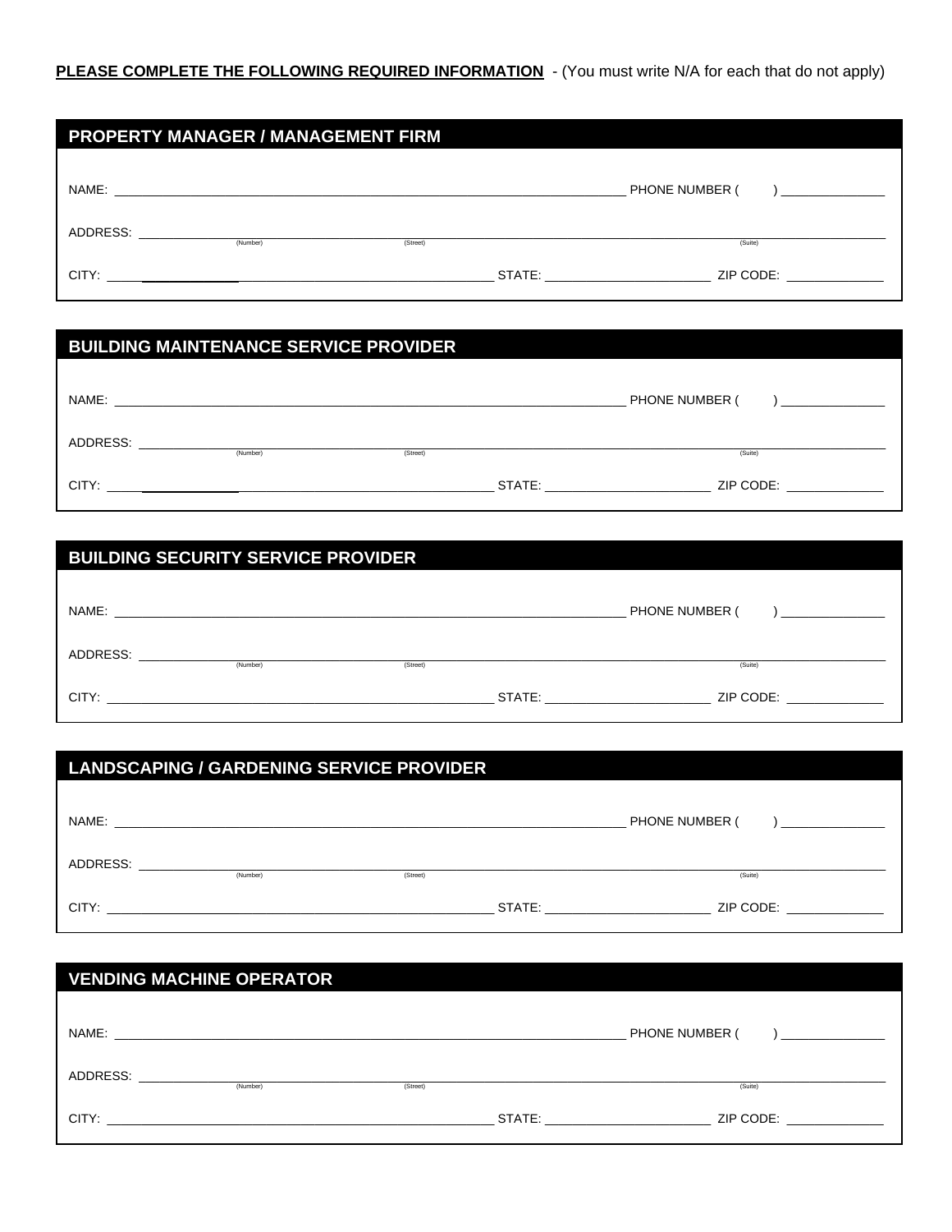|          | <b>PROPERTY MANAGER / MANAGEMENT FIRM</b>            |          |        |                |
|----------|------------------------------------------------------|----------|--------|----------------|
| NAME:    | <u> 1999 - Jan Barnett, fransk politik (d. 1989)</u> |          |        | PHONE NUMBER ( |
| ADDRESS: | (Number)                                             | (Street) |        | (Suite)        |
| CITY:    |                                                      |          | STATE: | ZIP CODE:      |

# **BUILDING MAINTENANCE SERVICE PROVIDER**

| NAME:    |          |          |        | PHONE NUMBER ( |
|----------|----------|----------|--------|----------------|
| ADDRESS: | (Number) | (Street) |        | (Suite)        |
| CITY:    |          |          | STATE: | ZIP CODE:      |

| <b>BUILDING SECURITY SERVICE PROVIDER</b> |          |          |        |                |
|-------------------------------------------|----------|----------|--------|----------------|
|                                           |          |          |        |                |
| NAME:                                     |          |          |        | PHONE NUMBER ( |
| ADDRESS:                                  |          |          |        |                |
|                                           | (Number) | (Street) |        | (Suite)        |
| CITY:                                     |          |          | STATE: | ZIP CODE:      |

| <b>LANDSCAPING / GARDENING SERVICE PROVIDER</b> |          |          |                |  |
|-------------------------------------------------|----------|----------|----------------|--|
|                                                 |          |          |                |  |
| NAME:                                           |          |          | PHONE NUMBER ( |  |
| ADDRESS:                                        | (Number) | (Street) | (Suite)        |  |
| CITY:                                           |          | STATE:   | ZIP CODE:      |  |

| <b>VENDING MACHINE OPERATOR</b> |          |          |  |                                                                                                                                                                                                                                             |
|---------------------------------|----------|----------|--|---------------------------------------------------------------------------------------------------------------------------------------------------------------------------------------------------------------------------------------------|
|                                 |          |          |  |                                                                                                                                                                                                                                             |
| NAME:                           |          |          |  | PHONE NUMBER (                                                                                                                                                                                                                              |
| ADDRESS:                        |          |          |  |                                                                                                                                                                                                                                             |
|                                 | (Number) | (Street) |  | (Suite)                                                                                                                                                                                                                                     |
| CITY:                           |          |          |  | STATE: and the state of the state of the state of the state of the state of the state of the state of the state of the state of the state of the state of the state of the state of the state of the state of the state of the<br>ZIP CODE: |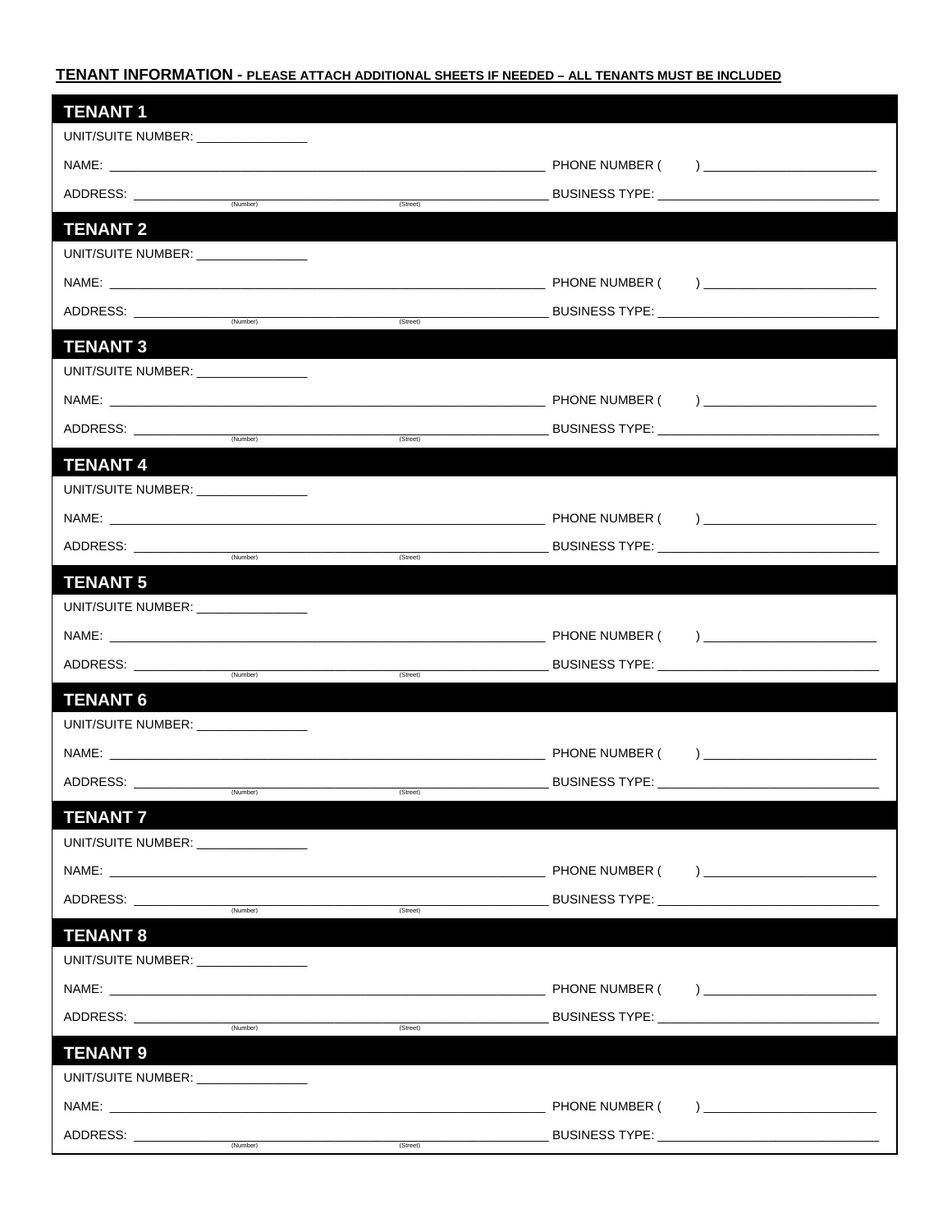### TENANT INFORMATION - PLEASE ATTACH ADDITIONAL SHEETS IF NEEDED - ALL TENANTS MUST BE INCLUDED

| <b>TENANT1</b>                       |          |                                            |                                                                                                                                                                                                                                |
|--------------------------------------|----------|--------------------------------------------|--------------------------------------------------------------------------------------------------------------------------------------------------------------------------------------------------------------------------------|
| UNIT/SUITE NUMBER: _________________ |          |                                            |                                                                                                                                                                                                                                |
|                                      |          |                                            |                                                                                                                                                                                                                                |
| ADDRESS: ______________              | (Number) | (Street)                                   |                                                                                                                                                                                                                                |
| <b>TENANT 2</b>                      |          |                                            |                                                                                                                                                                                                                                |
| UNIT/SUITE NUMBER: _________________ |          |                                            |                                                                                                                                                                                                                                |
|                                      |          |                                            |                                                                                                                                                                                                                                |
| ADDRESS: _______________             |          |                                            |                                                                                                                                                                                                                                |
|                                      | (Number) | (Street)                                   |                                                                                                                                                                                                                                |
| <b>TENANT 3</b>                      |          |                                            |                                                                                                                                                                                                                                |
| UNIT/SUITE NUMBER: _________________ |          |                                            |                                                                                                                                                                                                                                |
|                                      |          |                                            |                                                                                                                                                                                                                                |
|                                      |          |                                            |                                                                                                                                                                                                                                |
| <b>TENANT 4</b>                      |          |                                            |                                                                                                                                                                                                                                |
| UNIT/SUITE NUMBER: ________________  |          |                                            |                                                                                                                                                                                                                                |
|                                      |          |                                            |                                                                                                                                                                                                                                |
|                                      |          | (Street)                                   |                                                                                                                                                                                                                                |
| <b>TENANT 5</b>                      |          |                                            |                                                                                                                                                                                                                                |
| UNIT/SUITE NUMBER: ________________  |          |                                            |                                                                                                                                                                                                                                |
|                                      |          |                                            |                                                                                                                                                                                                                                |
| ADDRESS: ______________              |          |                                            | BUSINESS TYPE: ___________________________________                                                                                                                                                                             |
|                                      | (Number) | (Street)                                   |                                                                                                                                                                                                                                |
| <b>TENANT 6</b>                      |          |                                            |                                                                                                                                                                                                                                |
| UNIT/SUITE NUMBER: ________________  |          |                                            |                                                                                                                                                                                                                                |
|                                      |          |                                            |                                                                                                                                                                                                                                |
|                                      |          |                                            |                                                                                                                                                                                                                                |
| <b>TENANT 7</b>                      |          |                                            |                                                                                                                                                                                                                                |
| UNIT/SUITE NUMBER: _________________ |          |                                            |                                                                                                                                                                                                                                |
|                                      |          |                                            |                                                                                                                                                                                                                                |
|                                      | (Number) | (Street)                                   | BUSINESS TYPE: New York State Street Street Street Street Street Street Street Street Street Street Street Street Street Street Street Street Street Street Street Street Street Street Street Street Street Street Street Str |
| <b>TENANT 8</b>                      |          |                                            |                                                                                                                                                                                                                                |
| UNIT/SUITE NUMBER: ________________  |          |                                            |                                                                                                                                                                                                                                |
|                                      |          |                                            |                                                                                                                                                                                                                                |
|                                      |          | <u> 1990 - Johann Barn, mars ann an t-</u> | BUSINESS TYPE: New York State Street Street Street Street Street Street Street Street Street Street Street Street Street Street Street Street Street Street Street Street Street Street Street Street Street Street Street Str |
|                                      |          | (Street)                                   |                                                                                                                                                                                                                                |
| <b>TENANT 9</b>                      |          |                                            |                                                                                                                                                                                                                                |
| UNIT/SUITE NUMBER: ________________  |          |                                            |                                                                                                                                                                                                                                |
|                                      |          |                                            |                                                                                                                                                                                                                                |
| ADDRESS: _____________               | (Number) | (Street)                                   | BUSINESS TYPE: ___________________________________                                                                                                                                                                             |